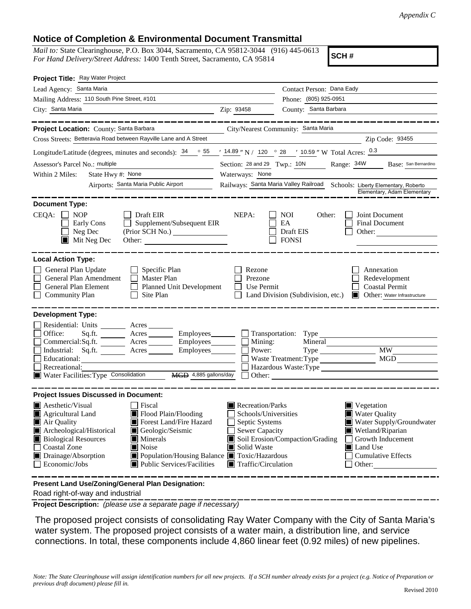## **Notice of Completion & Environmental Document Transmittal**

*Mail to:* State Clearinghouse, P.O. Box 3044, Sacramento, CA 95812-3044 (916) 445-0613 *For Hand Delivery/Street Address:* 1400 Tenth Street, Sacramento, CA 95814

**SCH #**

| Project Title: Ray Water Project                                                                                                                                                                                                                                                                                                                                                                                                   |                                                                                                                                                                                                               |                                                                                                                                   |                                  |                                                                                                                                                                           |  |  |
|------------------------------------------------------------------------------------------------------------------------------------------------------------------------------------------------------------------------------------------------------------------------------------------------------------------------------------------------------------------------------------------------------------------------------------|---------------------------------------------------------------------------------------------------------------------------------------------------------------------------------------------------------------|-----------------------------------------------------------------------------------------------------------------------------------|----------------------------------|---------------------------------------------------------------------------------------------------------------------------------------------------------------------------|--|--|
| Lead Agency: Santa Maria                                                                                                                                                                                                                                                                                                                                                                                                           |                                                                                                                                                                                                               | Contact Person: Dana Eady                                                                                                         |                                  |                                                                                                                                                                           |  |  |
| Mailing Address: 110 South Pine Street, #101                                                                                                                                                                                                                                                                                                                                                                                       |                                                                                                                                                                                                               | Phone: (805) 925-0951                                                                                                             |                                  |                                                                                                                                                                           |  |  |
| City: Santa Maria                                                                                                                                                                                                                                                                                                                                                                                                                  |                                                                                                                                                                                                               | Zip: 93458                                                                                                                        | County: Santa Barbara            |                                                                                                                                                                           |  |  |
|                                                                                                                                                                                                                                                                                                                                                                                                                                    |                                                                                                                                                                                                               |                                                                                                                                   |                                  |                                                                                                                                                                           |  |  |
| Project Location: County: Santa Barbara                                                                                                                                                                                                                                                                                                                                                                                            |                                                                                                                                                                                                               | City/Nearest Community: Santa Maria                                                                                               |                                  |                                                                                                                                                                           |  |  |
| Cross Streets: Betteravia Road between Rayville Lane and A Street                                                                                                                                                                                                                                                                                                                                                                  |                                                                                                                                                                                                               |                                                                                                                                   |                                  | Zip Code: 93455                                                                                                                                                           |  |  |
| Longitude/Latitude (degrees, minutes and seconds): $\frac{34}{9}$ $\frac{55}{14.89}$ " N / 120 $\degree$ 28 $\degree$ 10.59 " W Total Acres: $\frac{0.3}{9}$                                                                                                                                                                                                                                                                       |                                                                                                                                                                                                               |                                                                                                                                   |                                  |                                                                                                                                                                           |  |  |
| Assessor's Parcel No.: multiple                                                                                                                                                                                                                                                                                                                                                                                                    |                                                                                                                                                                                                               | Section: 28 and 29 Twp.: 10N<br>Range: 34W<br>Base: San Bernardino                                                                |                                  |                                                                                                                                                                           |  |  |
| State Hwy #: None<br>Within 2 Miles:                                                                                                                                                                                                                                                                                                                                                                                               |                                                                                                                                                                                                               | Waterways: None                                                                                                                   |                                  |                                                                                                                                                                           |  |  |
| Airports: Santa Maria Public Airport                                                                                                                                                                                                                                                                                                                                                                                               |                                                                                                                                                                                                               | Railways: Santa Maria Valley Railroad<br>Schools: Liberty Elementary, Roberto<br>Elementary, Adam Elementary                      |                                  |                                                                                                                                                                           |  |  |
| <b>Document Type:</b>                                                                                                                                                                                                                                                                                                                                                                                                              |                                                                                                                                                                                                               |                                                                                                                                   |                                  |                                                                                                                                                                           |  |  |
| Draft EIR<br>CEQA:<br><b>NOP</b><br>NEPA:<br><b>NOI</b><br>Other:<br>Joint Document<br>Supplement/Subsequent EIR<br>EA<br>Final Document<br>Early Cons<br>Neg Dec<br>Draft EIS<br>Other:                                                                                                                                                                                                                                           |                                                                                                                                                                                                               |                                                                                                                                   |                                  |                                                                                                                                                                           |  |  |
| $\blacksquare$ Mit Neg Dec                                                                                                                                                                                                                                                                                                                                                                                                         | Other:                                                                                                                                                                                                        |                                                                                                                                   | <b>FONSI</b>                     |                                                                                                                                                                           |  |  |
| <b>Local Action Type:</b><br>General Plan Update<br>Specific Plan<br>Rezone<br>Annexation<br>General Plan Amendment<br>$\Box$<br>Master Plan<br>Prezone<br>Redevelopment<br>General Plan Element<br><b>Coastal Permit</b><br>$\perp$<br><b>Planned Unit Development</b><br>Use Permit<br><b>Community Plan</b><br>Site Plan<br><b>Other:</b> Water Infrastructure<br>Land Division (Subdivision, etc.)<br><b>Development Type:</b> |                                                                                                                                                                                                               |                                                                                                                                   |                                  |                                                                                                                                                                           |  |  |
| Residential: Units _________ Acres _______<br>Office:<br>Sq.ft.<br>Commercial:Sq.ft. Acres Employees<br>Industrial: Sq.ft. _______ Acres _______ Employees_______<br>Educational:<br>Recreational:<br>Water Facilities: Type Consolidation                                                                                                                                                                                         | Acres<br>MGD 4,885 gallons/day                                                                                                                                                                                | Employees<br><u>Communication:</u> Type<br>$\blacksquare$ Mining:<br>Power:<br>Other:                                             | Mineral<br>Waste Treatment: Type | <b>MW</b><br>Type<br>MGD<br><u> 1989 - Jan Stern Stern Stern Stern Stern Stern Stern Stern Stern Stern Stern Stern Stern Stern Stern Stern Ste</u>                        |  |  |
| <b>Project Issues Discussed in Document:</b>                                                                                                                                                                                                                                                                                                                                                                                       |                                                                                                                                                                                                               |                                                                                                                                   |                                  |                                                                                                                                                                           |  |  |
| <b>Aesthetic/Visual</b><br>Agricultural Land<br>Air Quality<br>Archeological/Historical<br><b>Biological Resources</b><br><b>Coastal Zone</b><br>Drainage/Absorption<br>Economic/Jobs                                                                                                                                                                                                                                              | Fiscal<br>Flood Plain/Flooding<br>Forest Land/Fire Hazard<br>Geologic/Seismic<br><b>Minerals</b><br>Noise<br>Population/Housing Balance <b>T</b> Toxic/Hazardous<br>$\blacksquare$ Public Services/Facilities | Recreation/Parks<br>Schools/Universities<br>Septic Systems<br>Sewer Capacity<br>Solid Waste<br>$\blacksquare$ Traffic/Circulation | Soil Erosion/Compaction/Grading  | $\blacksquare$ Vegetation<br><b>Water Quality</b><br>Water Supply/Groundwater<br>Wetland/Riparian<br>Growth Inducement<br>Land Use<br><b>Cumulative Effects</b><br>Other: |  |  |
| Present Land Use/Zoning/General Plan Designation:                                                                                                                                                                                                                                                                                                                                                                                  |                                                                                                                                                                                                               |                                                                                                                                   |                                  |                                                                                                                                                                           |  |  |

Road right-of-way and industrial

**Project Description:** *(please use a separate page if necessary)*

The proposed project consists of consolidating Ray Water Company with the City of Santa Maria's water system. The proposed project consists of a water main, a distribution line, and service connections. In total, these components include 4,860 linear feet (0.92 miles) of new pipelines.